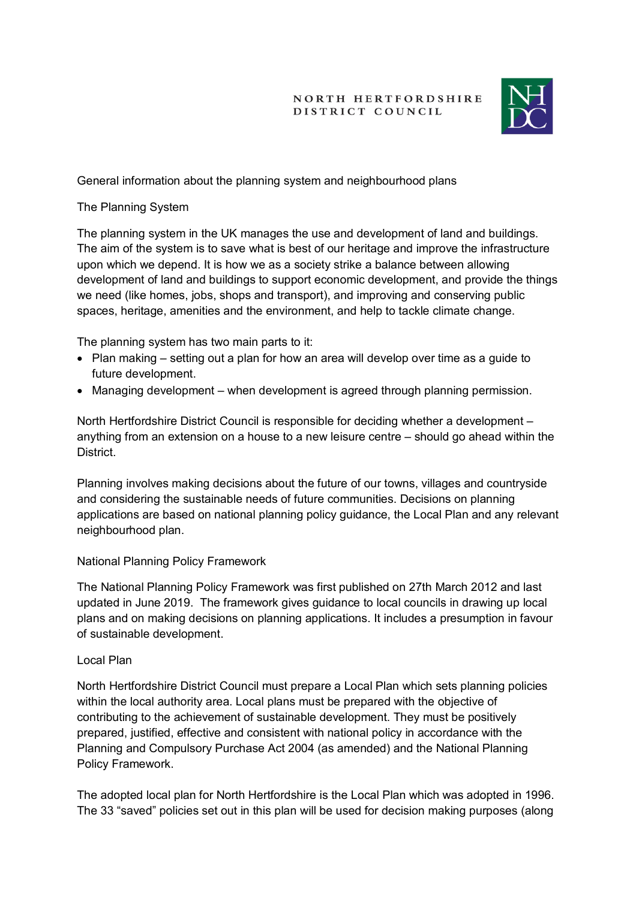### **NORTH HERTFORDSHIRE** DISTRICT COUNCIL



# General information about the planning system and neighbourhood plans

## The Planning System

The planning system in the UK manages the use and development of land and buildings. The aim of the system is to save what is best of our heritage and improve the infrastructure upon which we depend. It is how we as a society strike a balance between allowing development of land and buildings to support economic development, and provide the things we need (like homes, jobs, shops and transport), and improving and conserving public spaces, heritage, amenities and the environment, and help to tackle climate change.

The planning system has two main parts to it:

- Plan making setting out a plan for how an area will develop over time as a guide to future development.
- Managing development when development is agreed through planning permission.

North Hertfordshire District Council is responsible for deciding whether a development – anything from an extension on a house to a new leisure centre – should go ahead within the **District** 

Planning involves making decisions about the future of our towns, villages and countryside and considering the sustainable needs of future communities. Decisions on planning applications are based on national planning policy guidance, the Local Plan and any relevant neighbourhood plan.

#### National Planning Policy Framework

The National Planning Policy Framework was first published on 27th March 2012 and last updated in June 2019. The framework gives guidance to local councils in drawing up local plans and on making decisions on planning applications. It includes a presumption in favour of sustainable development.

#### Local Plan

North Hertfordshire District Council must prepare a Local Plan which sets planning policies within the local authority area. Local plans must be prepared with the objective of contributing to the achievement of sustainable development. They must be positively prepared, justified, effective and consistent with national policy in accordance with the Planning and Compulsory Purchase Act 2004 (as amended) and the National Planning Policy Framework.

The adopted local plan for North Hertfordshire is the Local Plan which was adopted in 1996. The 33 "saved" policies set out in this plan will be used for decision making purposes (along